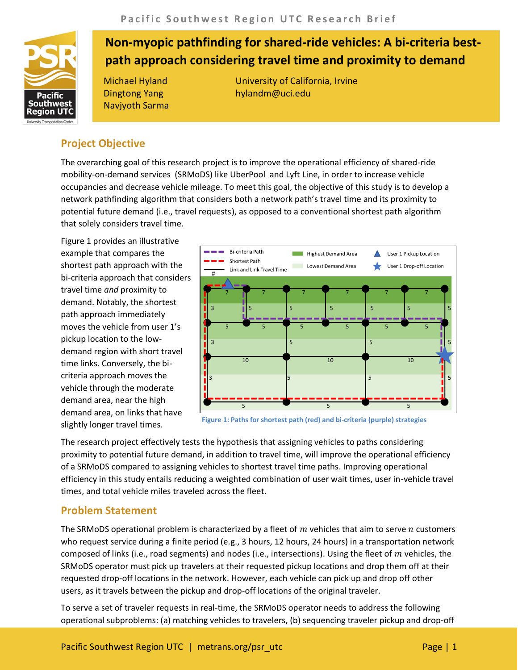

# **Non-myopic pathfinding for shared-ride vehicles: A bi-criteria bestpath approach considering travel time and proximity to demand**

Dingtong Yang Navjyoth Sarma

Michael Hyland University of California, Irvine hylandm@uci.edu

## **Project Objective**

The overarching goal of this research project is to improve the operational efficiency of shared-ride mobility-on-demand services (SRMoDS) like UberPool and Lyft Line, in order to increase vehicle occupancies and decrease vehicle mileage. To meet this goal, the objective of this study is to develop a network pathfinding algorithm that considers both a network path's travel time and its proximity to potential future demand (i.e., travel requests), as opposed to a conventional shortest path algorithm that solely considers travel time.

Figure 1 provides an illustrative example that compares the shortest path approach with the bi-criteria approach that considers travel time *and* proximity to demand. Notably, the shortest path approach immediately moves the vehicle from user 1's pickup location to the lowdemand region with short travel time links. Conversely, the bicriteria approach moves the vehicle through the moderate demand area, near the high demand area, on links that have slightly longer travel times.



**Figure 1: Paths for shortest path (red) and bi-criteria (purple) strategies**

The research project effectively tests the hypothesis that assigning vehicles to paths considering proximity to potential future demand, in addition to travel time, will improve the operational efficiency of a SRMoDS compared to assigning vehicles to shortest travel time paths. Improving operational efficiency in this study entails reducing a weighted combination of user wait times, user in-vehicle travel times, and total vehicle miles traveled across the fleet.

## **Problem Statement**

The SRMoDS operational problem is characterized by a fleet of  $m$  vehicles that aim to serve  $n$  customers who request service during a finite period (e.g., 3 hours, 12 hours, 24 hours) in a transportation network composed of links (i.e., road segments) and nodes (i.e., intersections). Using the fleet of  $m$  vehicles, the SRMoDS operator must pick up travelers at their requested pickup locations and drop them off at their requested drop-off locations in the network. However, each vehicle can pick up and drop off other users, as it travels between the pickup and drop-off locations of the original traveler.

To serve a set of traveler requests in real-time, the SRMoDS operator needs to address the following operational subproblems: (a) matching vehicles to travelers, (b) sequencing traveler pickup and drop-off